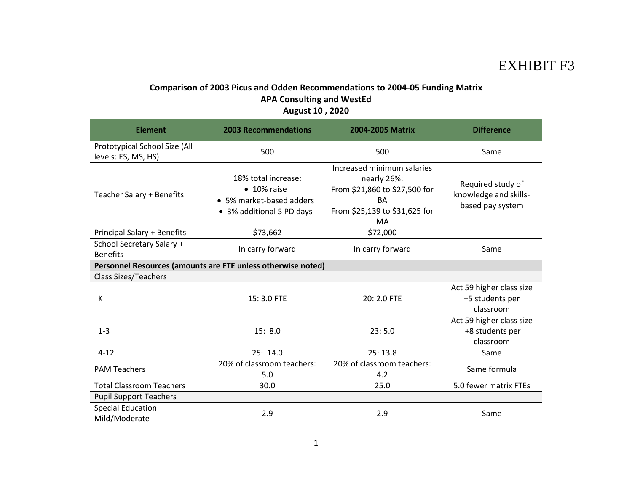## EXHIBIT F3

## **Comparison of 2003 Picus and Odden Recommendations to 2004-05 Funding Matrix APA Consulting and WestEd August 10 , 2020**

| <b>Element</b>                                               | <b>2003 Recommendations</b>                                                                         | 2004-2005 Matrix                                                                                                        | <b>Difference</b>                                              |
|--------------------------------------------------------------|-----------------------------------------------------------------------------------------------------|-------------------------------------------------------------------------------------------------------------------------|----------------------------------------------------------------|
| Prototypical School Size (All<br>levels: ES, MS, HS)         | 500                                                                                                 | 500                                                                                                                     | Same                                                           |
| Teacher Salary + Benefits                                    | 18% total increase:<br>$\bullet$ 10% raise<br>• 5% market-based adders<br>• 3% additional 5 PD days | Increased minimum salaries<br>nearly 26%:<br>From \$21,860 to \$27,500 for<br>BA<br>From \$25,139 to \$31,625 for<br>MA | Required study of<br>knowledge and skills-<br>based pay system |
| <b>Principal Salary + Benefits</b>                           | \$73,662                                                                                            | \$72,000                                                                                                                |                                                                |
| School Secretary Salary +<br><b>Benefits</b>                 | In carry forward                                                                                    | In carry forward                                                                                                        | Same                                                           |
| Personnel Resources (amounts are FTE unless otherwise noted) |                                                                                                     |                                                                                                                         |                                                                |
| <b>Class Sizes/Teachers</b>                                  |                                                                                                     |                                                                                                                         |                                                                |
| К                                                            | 15:3.0 FTE                                                                                          | 20: 2.0 FTE                                                                                                             | Act 59 higher class size<br>+5 students per<br>classroom       |
| $1 - 3$                                                      | 15:8.0                                                                                              | 23:5.0                                                                                                                  | Act 59 higher class size<br>+8 students per<br>classroom       |
| $4 - 12$                                                     | 25: 14.0                                                                                            | 25:13.8                                                                                                                 | Same                                                           |
| <b>PAM Teachers</b>                                          | 20% of classroom teachers:<br>5.0                                                                   | 20% of classroom teachers:<br>4.2                                                                                       | Same formula                                                   |
| <b>Total Classroom Teachers</b>                              | 30.0                                                                                                | 25.0                                                                                                                    | 5.0 fewer matrix FTEs                                          |
| <b>Pupil Support Teachers</b>                                |                                                                                                     |                                                                                                                         |                                                                |
| <b>Special Education</b><br>Mild/Moderate                    | 2.9                                                                                                 | 2.9                                                                                                                     | Same                                                           |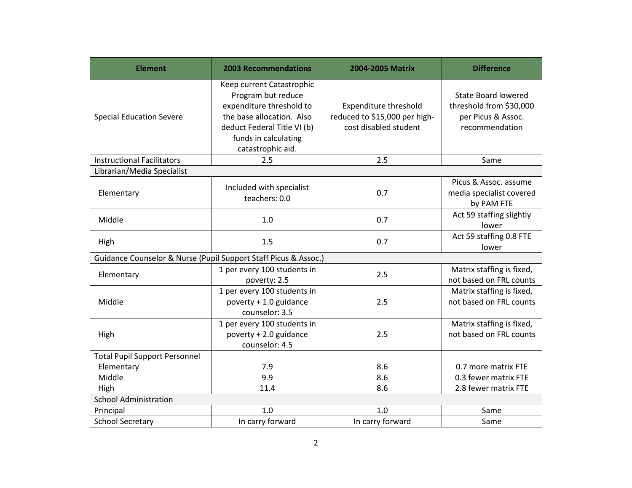| <b>Element</b>                                                  | <b>2003 Recommendations</b>                                                                                                                                                          | 2004-2005 Matrix                                                                       | <b>Difference</b>                                                                             |
|-----------------------------------------------------------------|--------------------------------------------------------------------------------------------------------------------------------------------------------------------------------------|----------------------------------------------------------------------------------------|-----------------------------------------------------------------------------------------------|
| <b>Special Education Severe</b>                                 | Keep current Catastrophic<br>Program but reduce<br>expenditure threshold to<br>the base allocation. Also<br>deduct Federal Title VI (b)<br>funds in calculating<br>catastrophic aid. | <b>Expenditure threshold</b><br>reduced to \$15,000 per high-<br>cost disabled student | <b>State Board lowered</b><br>threshold from \$30,000<br>per Picus & Assoc.<br>recommendation |
| <b>Instructional Facilitators</b>                               | 2.5                                                                                                                                                                                  | 2.5                                                                                    | Same                                                                                          |
| Librarian/Media Specialist                                      |                                                                                                                                                                                      |                                                                                        |                                                                                               |
| Elementary                                                      | Included with specialist<br>teachers: 0.0                                                                                                                                            | 0.7                                                                                    | Picus & Assoc. assume<br>media specialist covered<br>by PAM FTE                               |
| Middle                                                          | 1.0                                                                                                                                                                                  | 0.7                                                                                    | Act 59 staffing slightly<br>lower                                                             |
| High                                                            | 1.5                                                                                                                                                                                  | 0.7                                                                                    | Act 59 staffing 0.8 FTE<br>lower                                                              |
| Guidance Counselor & Nurse (Pupil Support Staff Picus & Assoc.) |                                                                                                                                                                                      |                                                                                        |                                                                                               |
| Elementary                                                      | 1 per every 100 students in<br>poverty: 2.5                                                                                                                                          | 2.5                                                                                    | Matrix staffing is fixed,<br>not based on FRL counts                                          |
| Middle                                                          | 1 per every 100 students in<br>poverty + 1.0 guidance<br>counselor: 3.5                                                                                                              | 2.5                                                                                    | Matrix staffing is fixed,<br>not based on FRL counts                                          |
| High                                                            | 1 per every 100 students in<br>poverty + 2.0 guidance<br>counselor: 4.5                                                                                                              | 2.5                                                                                    | Matrix staffing is fixed,<br>not based on FRL counts                                          |
| <b>Total Pupil Support Personnel</b>                            |                                                                                                                                                                                      |                                                                                        |                                                                                               |
| Elementary                                                      | 7.9                                                                                                                                                                                  | 8.6                                                                                    | 0.7 more matrix FTE                                                                           |
| Middle                                                          | 9.9                                                                                                                                                                                  | 8.6                                                                                    | 0.3 fewer matrix FTE                                                                          |
| High                                                            | 11.4                                                                                                                                                                                 | 8.6                                                                                    | 2.8 fewer matrix FTE                                                                          |
| <b>School Administration</b>                                    |                                                                                                                                                                                      |                                                                                        |                                                                                               |
| Principal                                                       | 1.0                                                                                                                                                                                  | 1.0                                                                                    | Same                                                                                          |
| <b>School Secretary</b>                                         | In carry forward                                                                                                                                                                     | In carry forward                                                                       | Same                                                                                          |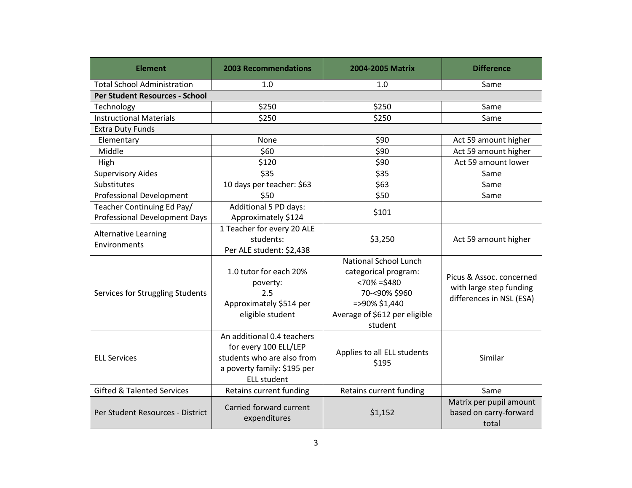| <b>Element</b>                                                     | <b>2003 Recommendations</b>                                                                                                            | 2004-2005 Matrix                                                                                                                                      | <b>Difference</b>                                                               |
|--------------------------------------------------------------------|----------------------------------------------------------------------------------------------------------------------------------------|-------------------------------------------------------------------------------------------------------------------------------------------------------|---------------------------------------------------------------------------------|
| <b>Total School Administration</b>                                 | 1.0                                                                                                                                    | 1.0                                                                                                                                                   | Same                                                                            |
| Per Student Resources - School                                     |                                                                                                                                        |                                                                                                                                                       |                                                                                 |
| Technology                                                         | \$250                                                                                                                                  | \$250                                                                                                                                                 | Same                                                                            |
| <b>Instructional Materials</b>                                     | \$250                                                                                                                                  | \$250                                                                                                                                                 | Same                                                                            |
| <b>Extra Duty Funds</b>                                            |                                                                                                                                        |                                                                                                                                                       |                                                                                 |
| Elementary                                                         | None                                                                                                                                   | \$90                                                                                                                                                  | Act 59 amount higher                                                            |
| Middle                                                             | \$60                                                                                                                                   | \$90                                                                                                                                                  | Act 59 amount higher                                                            |
| High                                                               | \$120                                                                                                                                  | \$90                                                                                                                                                  | Act 59 amount lower                                                             |
| <b>Supervisory Aides</b>                                           | \$35                                                                                                                                   | \$35                                                                                                                                                  | Same                                                                            |
| Substitutes                                                        | 10 days per teacher: \$63                                                                                                              | \$63                                                                                                                                                  | Same                                                                            |
| <b>Professional Development</b>                                    | \$50                                                                                                                                   | \$50                                                                                                                                                  | Same                                                                            |
| Teacher Continuing Ed Pay/<br><b>Professional Development Days</b> | Additional 5 PD days:<br>Approximately \$124                                                                                           | \$101                                                                                                                                                 |                                                                                 |
| <b>Alternative Learning</b><br>Environments                        | 1 Teacher for every 20 ALE<br>students:<br>Per ALE student: \$2,438                                                                    | \$3,250                                                                                                                                               | Act 59 amount higher                                                            |
| Services for Struggling Students                                   | 1.0 tutor for each 20%<br>poverty:<br>2.5<br>Approximately \$514 per<br>eligible student                                               | <b>National School Lunch</b><br>categorical program:<br>$< 70\% = $480$<br>70-<90% \$960<br>=>90% \$1,440<br>Average of \$612 per eligible<br>student | Picus & Assoc. concerned<br>with large step funding<br>differences in NSL (ESA) |
| <b>ELL Services</b>                                                | An additional 0.4 teachers<br>for every 100 ELL/LEP<br>students who are also from<br>a poverty family: \$195 per<br><b>ELL student</b> | Applies to all ELL students<br>\$195                                                                                                                  | Similar                                                                         |
| <b>Gifted &amp; Talented Services</b>                              | Retains current funding                                                                                                                | Retains current funding                                                                                                                               | Same                                                                            |
| Per Student Resources - District                                   | Carried forward current<br>expenditures                                                                                                | \$1,152                                                                                                                                               | Matrix per pupil amount<br>based on carry-forward<br>total                      |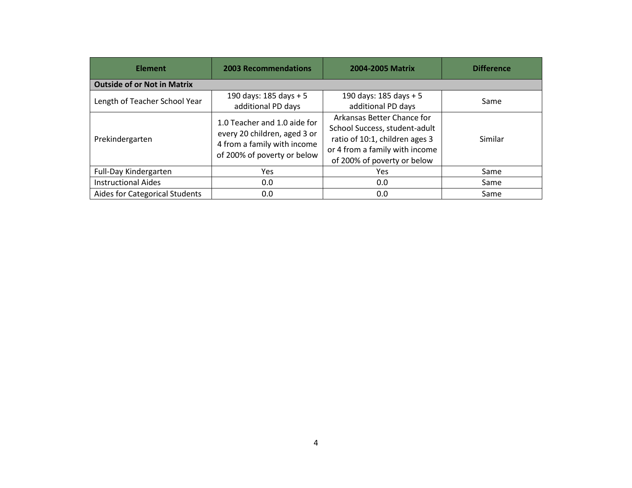| <b>Element</b>                     | <b>2003 Recommendations</b>                                                                                                | <b>2004-2005 Matrix</b>                                                                                                                                        | <b>Difference</b> |
|------------------------------------|----------------------------------------------------------------------------------------------------------------------------|----------------------------------------------------------------------------------------------------------------------------------------------------------------|-------------------|
| <b>Outside of or Not in Matrix</b> |                                                                                                                            |                                                                                                                                                                |                   |
| Length of Teacher School Year      | 190 days: $185$ days + 5<br>additional PD days                                                                             | 190 days: 185 days + 5<br>additional PD days                                                                                                                   | Same              |
| Prekindergarten                    | 1.0 Teacher and 1.0 aide for<br>every 20 children, aged 3 or<br>4 from a family with income<br>of 200% of poverty or below | Arkansas Better Chance for<br>School Success, student-adult<br>ratio of 10:1, children ages 3<br>or 4 from a family with income<br>of 200% of poverty or below | Similar           |
| Full-Day Kindergarten              | <b>Yes</b>                                                                                                                 | <b>Yes</b>                                                                                                                                                     | Same              |
| <b>Instructional Aides</b>         | 0.0                                                                                                                        | 0.0                                                                                                                                                            | Same              |
| Aides for Categorical Students     | 0.0                                                                                                                        | 0.0                                                                                                                                                            | Same              |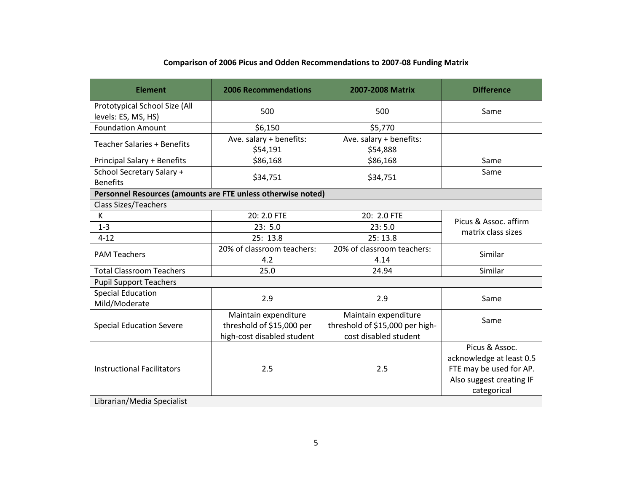| <b>Element</b>                                               | <b>2006 Recommendations</b>                                                     | 2007-2008 Matrix                                                                 | <b>Difference</b>                                                                                                |
|--------------------------------------------------------------|---------------------------------------------------------------------------------|----------------------------------------------------------------------------------|------------------------------------------------------------------------------------------------------------------|
| Prototypical School Size (All<br>levels: ES, MS, HS)         | 500                                                                             | 500                                                                              | Same                                                                                                             |
| <b>Foundation Amount</b>                                     | \$6,150                                                                         | \$5,770                                                                          |                                                                                                                  |
| <b>Teacher Salaries + Benefits</b>                           | Ave. salary + benefits:<br>\$54,191                                             | Ave. salary + benefits:<br>\$54,888                                              |                                                                                                                  |
| Principal Salary + Benefits                                  | \$86,168                                                                        | \$86,168                                                                         | Same                                                                                                             |
| School Secretary Salary +<br><b>Benefits</b>                 | \$34,751                                                                        | \$34,751                                                                         | Same                                                                                                             |
| Personnel Resources (amounts are FTE unless otherwise noted) |                                                                                 |                                                                                  |                                                                                                                  |
| <b>Class Sizes/Teachers</b>                                  |                                                                                 |                                                                                  |                                                                                                                  |
| K                                                            | 20: 2.0 FTE                                                                     | 20: 2.0 FTE                                                                      | Picus & Assoc. affirm                                                                                            |
| $1 - 3$                                                      | 23:5.0                                                                          | 23:5.0                                                                           | matrix class sizes                                                                                               |
| $4 - 12$                                                     | 25:13.8                                                                         | 25:13.8                                                                          |                                                                                                                  |
| <b>PAM Teachers</b>                                          | 20% of classroom teachers:<br>4.2                                               | 20% of classroom teachers:<br>4.14                                               | Similar                                                                                                          |
| <b>Total Classroom Teachers</b>                              | 25.0                                                                            | 24.94                                                                            | Similar                                                                                                          |
| <b>Pupil Support Teachers</b>                                |                                                                                 |                                                                                  |                                                                                                                  |
| <b>Special Education</b><br>Mild/Moderate                    | 2.9                                                                             | 2.9                                                                              | Same                                                                                                             |
| <b>Special Education Severe</b>                              | Maintain expenditure<br>threshold of \$15,000 per<br>high-cost disabled student | Maintain expenditure<br>threshold of \$15,000 per high-<br>cost disabled student | Same                                                                                                             |
| <b>Instructional Facilitators</b>                            | 2.5                                                                             | 2.5                                                                              | Picus & Assoc.<br>acknowledge at least 0.5<br>FTE may be used for AP.<br>Also suggest creating IF<br>categorical |
| Librarian/Media Specialist                                   |                                                                                 |                                                                                  |                                                                                                                  |

## **Comparison of 2006 Picus and Odden Recommendations to 2007-08 Funding Matrix**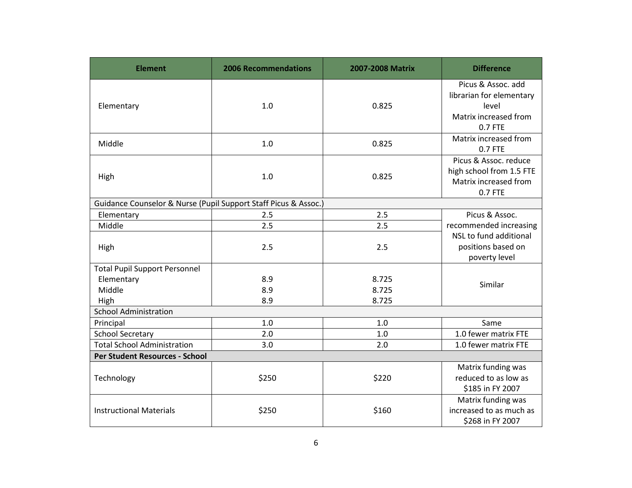| <b>Element</b>                                                       | <b>2006 Recommendations</b> | 2007-2008 Matrix        | <b>Difference</b>                                                                           |
|----------------------------------------------------------------------|-----------------------------|-------------------------|---------------------------------------------------------------------------------------------|
| Elementary                                                           | 1.0                         | 0.825                   | Picus & Assoc. add<br>librarian for elementary<br>level<br>Matrix increased from<br>0.7 FTE |
| Middle                                                               | 1.0                         | 0.825                   | Matrix increased from<br>0.7 FTE                                                            |
| High                                                                 | 1.0                         | 0.825                   | Picus & Assoc. reduce<br>high school from 1.5 FTE<br>Matrix increased from<br>0.7 FTE       |
| Guidance Counselor & Nurse (Pupil Support Staff Picus & Assoc.)      |                             |                         |                                                                                             |
| Elementary                                                           | 2.5                         | 2.5                     | Picus & Assoc.                                                                              |
| Middle                                                               | 2.5                         | 2.5                     | recommended increasing                                                                      |
| High                                                                 | 2.5                         | 2.5                     | NSL to fund additional<br>positions based on<br>poverty level                               |
| <b>Total Pupil Support Personnel</b><br>Elementary<br>Middle<br>High | 8.9<br>8.9<br>8.9           | 8.725<br>8.725<br>8.725 | Similar                                                                                     |
| <b>School Administration</b>                                         |                             |                         |                                                                                             |
| Principal                                                            | 1.0                         | 1.0                     | Same                                                                                        |
| <b>School Secretary</b>                                              | 2.0                         | 1.0                     | 1.0 fewer matrix FTE                                                                        |
| <b>Total School Administration</b>                                   | 3.0                         | 2.0                     | 1.0 fewer matrix FTE                                                                        |
| Per Student Resources - School                                       |                             |                         |                                                                                             |
| Technology                                                           | \$250                       | \$220                   | Matrix funding was<br>reduced to as low as<br>\$185 in FY 2007                              |
| <b>Instructional Materials</b>                                       | \$250                       | \$160                   | Matrix funding was<br>increased to as much as<br>\$268 in FY 2007                           |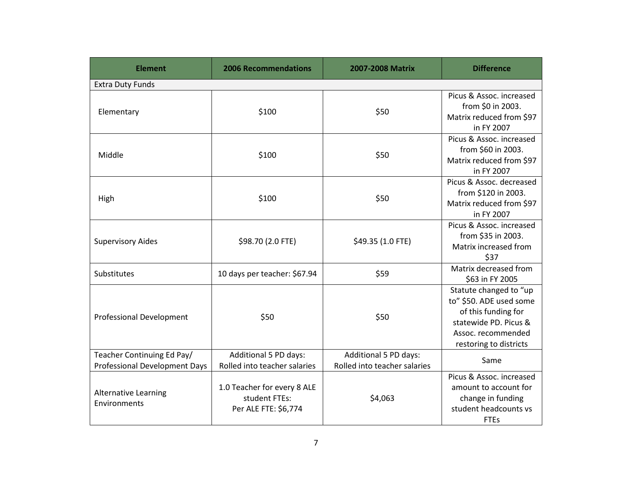| <b>Element</b>                                                     | <b>2006 Recommendations</b>                                          | 2007-2008 Matrix                                      | <b>Difference</b>                                                                                                                                 |
|--------------------------------------------------------------------|----------------------------------------------------------------------|-------------------------------------------------------|---------------------------------------------------------------------------------------------------------------------------------------------------|
| <b>Extra Duty Funds</b>                                            |                                                                      |                                                       |                                                                                                                                                   |
| Elementary                                                         | \$100                                                                | \$50                                                  | Picus & Assoc. increased<br>from \$0 in 2003.<br>Matrix reduced from \$97<br>in FY 2007                                                           |
| Middle                                                             | \$100                                                                | \$50                                                  | Picus & Assoc. increased<br>from \$60 in 2003.<br>Matrix reduced from \$97<br>in FY 2007                                                          |
| High                                                               | \$100                                                                | \$50                                                  | Picus & Assoc. decreased<br>from \$120 in 2003.<br>Matrix reduced from \$97<br>in FY 2007                                                         |
| <b>Supervisory Aides</b>                                           | \$98.70 (2.0 FTE)                                                    | \$49.35 (1.0 FTE)                                     | Picus & Assoc. increased<br>from \$35 in 2003.<br>Matrix increased from<br>\$37                                                                   |
| Substitutes                                                        | 10 days per teacher: \$67.94                                         | \$59                                                  | Matrix decreased from<br>\$63 in FY 2005                                                                                                          |
| <b>Professional Development</b>                                    | \$50                                                                 | \$50                                                  | Statute changed to "up<br>to" \$50. ADE used some<br>of this funding for<br>statewide PD. Picus &<br>Assoc. recommended<br>restoring to districts |
| Teacher Continuing Ed Pay/<br><b>Professional Development Days</b> | Additional 5 PD days:<br>Rolled into teacher salaries                | Additional 5 PD days:<br>Rolled into teacher salaries | Same                                                                                                                                              |
| <b>Alternative Learning</b><br>Environments                        | 1.0 Teacher for every 8 ALE<br>student FTEs:<br>Per ALE FTE: \$6,774 | \$4,063                                               | Picus & Assoc. increased<br>amount to account for<br>change in funding<br>student headcounts vs<br><b>FTEs</b>                                    |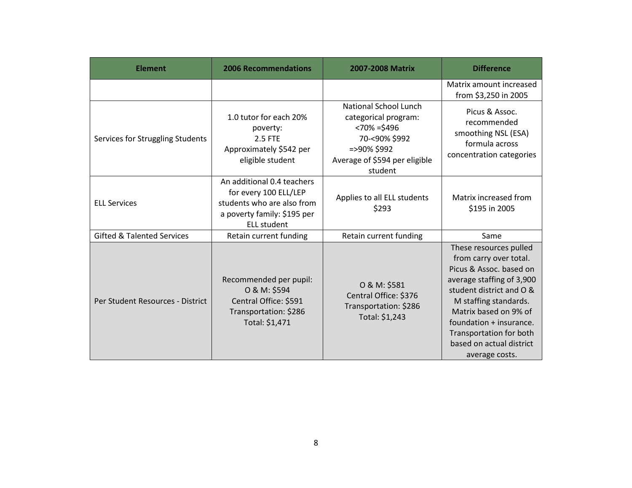| <b>Element</b>                        | <b>2006 Recommendations</b>                                                                                                            | 2007-2008 Matrix                                                                                                                                    | <b>Difference</b>                                                                                                                                                                                                                                                                          |
|---------------------------------------|----------------------------------------------------------------------------------------------------------------------------------------|-----------------------------------------------------------------------------------------------------------------------------------------------------|--------------------------------------------------------------------------------------------------------------------------------------------------------------------------------------------------------------------------------------------------------------------------------------------|
|                                       |                                                                                                                                        |                                                                                                                                                     | Matrix amount increased<br>from \$3,250 in 2005                                                                                                                                                                                                                                            |
| Services for Struggling Students      | 1.0 tutor for each 20%<br>poverty:<br>2.5 FTE<br>Approximately \$542 per<br>eligible student                                           | <b>National School Lunch</b><br>categorical program:<br>$< 70\% = $496$<br>70-<90% \$992<br>=>90% \$992<br>Average of \$594 per eligible<br>student | Picus & Assoc.<br>recommended<br>smoothing NSL (ESA)<br>formula across<br>concentration categories                                                                                                                                                                                         |
| <b>ELL Services</b>                   | An additional 0.4 teachers<br>for every 100 ELL/LEP<br>students who are also from<br>a poverty family: \$195 per<br><b>ELL student</b> | Applies to all ELL students<br>\$293                                                                                                                | Matrix increased from<br>\$195 in 2005                                                                                                                                                                                                                                                     |
| <b>Gifted &amp; Talented Services</b> | Retain current funding                                                                                                                 | Retain current funding                                                                                                                              | Same                                                                                                                                                                                                                                                                                       |
| Per Student Resources - District      | Recommended per pupil:<br>O & M: \$594<br>Central Office: \$591<br>Transportation: \$286<br>Total: \$1,471                             | O & M: \$581<br>Central Office: \$376<br>Transportation: \$286<br>Total: \$1,243                                                                    | These resources pulled<br>from carry over total.<br>Picus & Assoc. based on<br>average staffing of 3,900<br>student district and O &<br>M staffing standards.<br>Matrix based on 9% of<br>foundation + insurance.<br>Transportation for both<br>based on actual district<br>average costs. |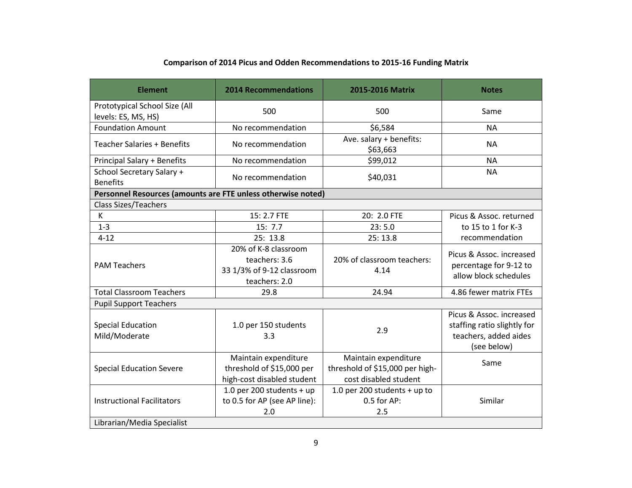| <b>Element</b>                                                  | <b>2014 Recommendations</b>                                                         | 2015-2016 Matrix                                                                 | <b>Notes</b>                                                                                    |
|-----------------------------------------------------------------|-------------------------------------------------------------------------------------|----------------------------------------------------------------------------------|-------------------------------------------------------------------------------------------------|
| Prototypical School Size (All<br>levels: ES, MS, HS)            | 500                                                                                 | 500                                                                              | Same                                                                                            |
| <b>Foundation Amount</b>                                        | No recommendation                                                                   | \$6,584                                                                          | <b>NA</b>                                                                                       |
| <b>Teacher Salaries + Benefits</b>                              | No recommendation                                                                   | Ave. salary + benefits:<br>\$63,663                                              | <b>NA</b>                                                                                       |
| <b>Principal Salary + Benefits</b>                              | No recommendation                                                                   | \$99,012                                                                         | <b>NA</b>                                                                                       |
| School Secretary Salary +<br><b>Benefits</b>                    | No recommendation                                                                   | \$40,031                                                                         | <b>NA</b>                                                                                       |
| Personnel Resources (amounts are FTE unless otherwise noted)    |                                                                                     |                                                                                  |                                                                                                 |
| <b>Class Sizes/Teachers</b>                                     |                                                                                     |                                                                                  |                                                                                                 |
| K                                                               | 15: 2.7 FTE                                                                         | 20: 2.0 FTE                                                                      | Picus & Assoc. returned                                                                         |
| $1 - 3$                                                         | 15:7.7                                                                              | 23:5.0                                                                           | to 15 to 1 for K-3                                                                              |
| $4 - 12$                                                        | 25: 13.8                                                                            | 25:13.8                                                                          | recommendation                                                                                  |
| <b>PAM Teachers</b>                                             | 20% of K-8 classroom<br>teachers: 3.6<br>33 1/3% of 9-12 classroom<br>teachers: 2.0 | 20% of classroom teachers:<br>4.14                                               | Picus & Assoc. increased<br>percentage for 9-12 to<br>allow block schedules                     |
| <b>Total Classroom Teachers</b>                                 | 29.8                                                                                | 24.94                                                                            | 4.86 fewer matrix FTEs                                                                          |
| <b>Pupil Support Teachers</b>                                   |                                                                                     |                                                                                  |                                                                                                 |
| <b>Special Education</b><br>Mild/Moderate                       | 1.0 per 150 students<br>3.3                                                         | 2.9                                                                              | Picus & Assoc. increased<br>staffing ratio slightly for<br>teachers, added aides<br>(see below) |
| <b>Special Education Severe</b>                                 | Maintain expenditure<br>threshold of \$15,000 per<br>high-cost disabled student     | Maintain expenditure<br>threshold of \$15,000 per high-<br>cost disabled student | Same                                                                                            |
| <b>Instructional Facilitators</b><br>Librarian/Media Specialist | 1.0 per 200 students + up<br>to 0.5 for AP (see AP line):<br>2.0                    | 1.0 per 200 students + up to<br>$0.5$ for AP:<br>2.5                             | Similar                                                                                         |

## **Comparison of 2014 Picus and Odden Recommendations to 2015-16 Funding Matrix**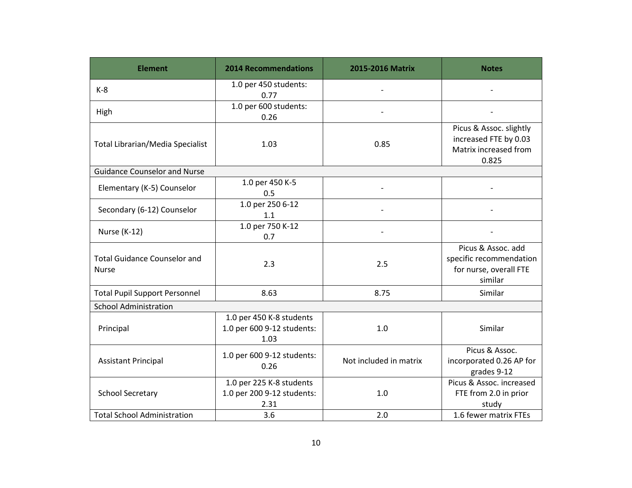| <b>Element</b>                                      | <b>2014 Recommendations</b>                                    | 2015-2016 Matrix       | <b>Notes</b>                                                                       |
|-----------------------------------------------------|----------------------------------------------------------------|------------------------|------------------------------------------------------------------------------------|
| $K-8$                                               | 1.0 per 450 students:<br>0.77                                  |                        |                                                                                    |
| High                                                | 1.0 per 600 students:<br>0.26                                  |                        |                                                                                    |
| Total Librarian/Media Specialist                    | 1.03                                                           | 0.85                   | Picus & Assoc. slightly<br>increased FTE by 0.03<br>Matrix increased from<br>0.825 |
| <b>Guidance Counselor and Nurse</b>                 |                                                                |                        |                                                                                    |
| Elementary (K-5) Counselor                          | 1.0 per 450 K-5<br>0.5                                         |                        |                                                                                    |
| Secondary (6-12) Counselor                          | 1.0 per 250 6-12<br>1.1                                        |                        |                                                                                    |
| Nurse (K-12)                                        | 1.0 per 750 K-12<br>0.7                                        |                        |                                                                                    |
| <b>Total Guidance Counselor and</b><br><b>Nurse</b> | 2.3                                                            | 2.5                    | Picus & Assoc. add<br>specific recommendation<br>for nurse, overall FTE<br>similar |
| <b>Total Pupil Support Personnel</b>                | 8.63                                                           | 8.75                   | Similar                                                                            |
| <b>School Administration</b>                        |                                                                |                        |                                                                                    |
| Principal                                           | 1.0 per 450 K-8 students<br>1.0 per 600 9-12 students:<br>1.03 | 1.0                    | Similar                                                                            |
| <b>Assistant Principal</b>                          | 1.0 per 600 9-12 students:<br>0.26                             | Not included in matrix | Picus & Assoc.<br>incorporated 0.26 AP for<br>grades 9-12                          |
| <b>School Secretary</b>                             | 1.0 per 225 K-8 students<br>1.0 per 200 9-12 students:<br>2.31 | 1.0                    | Picus & Assoc. increased<br>FTE from 2.0 in prior<br>study                         |
| <b>Total School Administration</b>                  | 3.6                                                            | 2.0                    | 1.6 fewer matrix FTEs                                                              |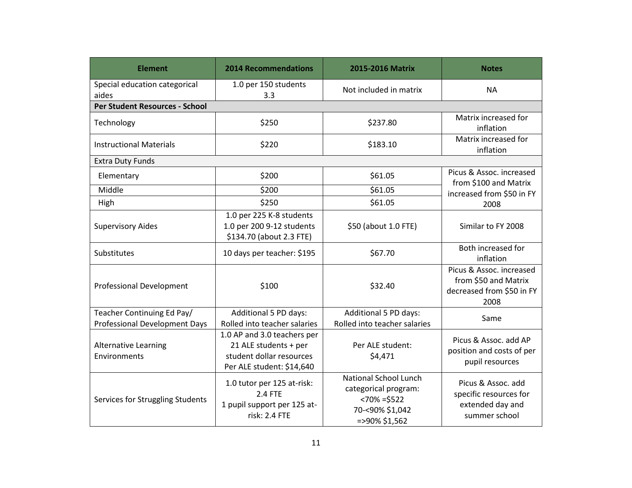| <b>Element</b>                                                     | <b>2014 Recommendations</b>                                                                                   | 2015-2016 Matrix                                                                                               | <b>Notes</b>                                                                          |
|--------------------------------------------------------------------|---------------------------------------------------------------------------------------------------------------|----------------------------------------------------------------------------------------------------------------|---------------------------------------------------------------------------------------|
| Special education categorical<br>aides                             | 1.0 per 150 students<br>3.3                                                                                   | Not included in matrix                                                                                         | <b>NA</b>                                                                             |
| <b>Per Student Resources - School</b>                              |                                                                                                               |                                                                                                                |                                                                                       |
| Technology                                                         | \$250                                                                                                         | \$237.80                                                                                                       | Matrix increased for<br>inflation                                                     |
| <b>Instructional Materials</b>                                     | \$220                                                                                                         | \$183.10                                                                                                       | Matrix increased for<br>inflation                                                     |
| <b>Extra Duty Funds</b>                                            |                                                                                                               |                                                                                                                |                                                                                       |
| Elementary                                                         | \$200                                                                                                         | \$61.05                                                                                                        | Picus & Assoc. increased<br>from \$100 and Matrix                                     |
| Middle                                                             | \$200                                                                                                         | \$61.05                                                                                                        | increased from \$50 in FY                                                             |
| High                                                               | \$250                                                                                                         | \$61.05                                                                                                        | 2008                                                                                  |
| <b>Supervisory Aides</b>                                           | 1.0 per 225 K-8 students<br>1.0 per 200 9-12 students<br>\$134.70 (about 2.3 FTE)                             | \$50 (about 1.0 FTE)                                                                                           | Similar to FY 2008                                                                    |
| Substitutes                                                        | 10 days per teacher: \$195                                                                                    | \$67.70                                                                                                        | Both increased for<br>inflation                                                       |
| <b>Professional Development</b>                                    | \$100                                                                                                         | \$32.40                                                                                                        | Picus & Assoc. increased<br>from \$50 and Matrix<br>decreased from \$50 in FY<br>2008 |
| Teacher Continuing Ed Pay/<br><b>Professional Development Days</b> | Additional 5 PD days:<br>Rolled into teacher salaries                                                         | Additional 5 PD days:<br>Rolled into teacher salaries                                                          | Same                                                                                  |
| Alternative Learning<br>Environments                               | 1.0 AP and 3.0 teachers per<br>21 ALE students + per<br>student dollar resources<br>Per ALE student: \$14,640 | Per ALE student:<br>\$4,471                                                                                    | Picus & Assoc. add AP<br>position and costs of per<br>pupil resources                 |
| Services for Struggling Students                                   | 1.0 tutor per 125 at-risk:<br>2.4 FTE<br>1 pupil support per 125 at-<br>risk: 2.4 FTE                         | <b>National School Lunch</b><br>categorical program:<br>$< 70\% = $522$<br>70-<90% \$1,042<br>$=$ >90% \$1,562 | Picus & Assoc. add<br>specific resources for<br>extended day and<br>summer school     |